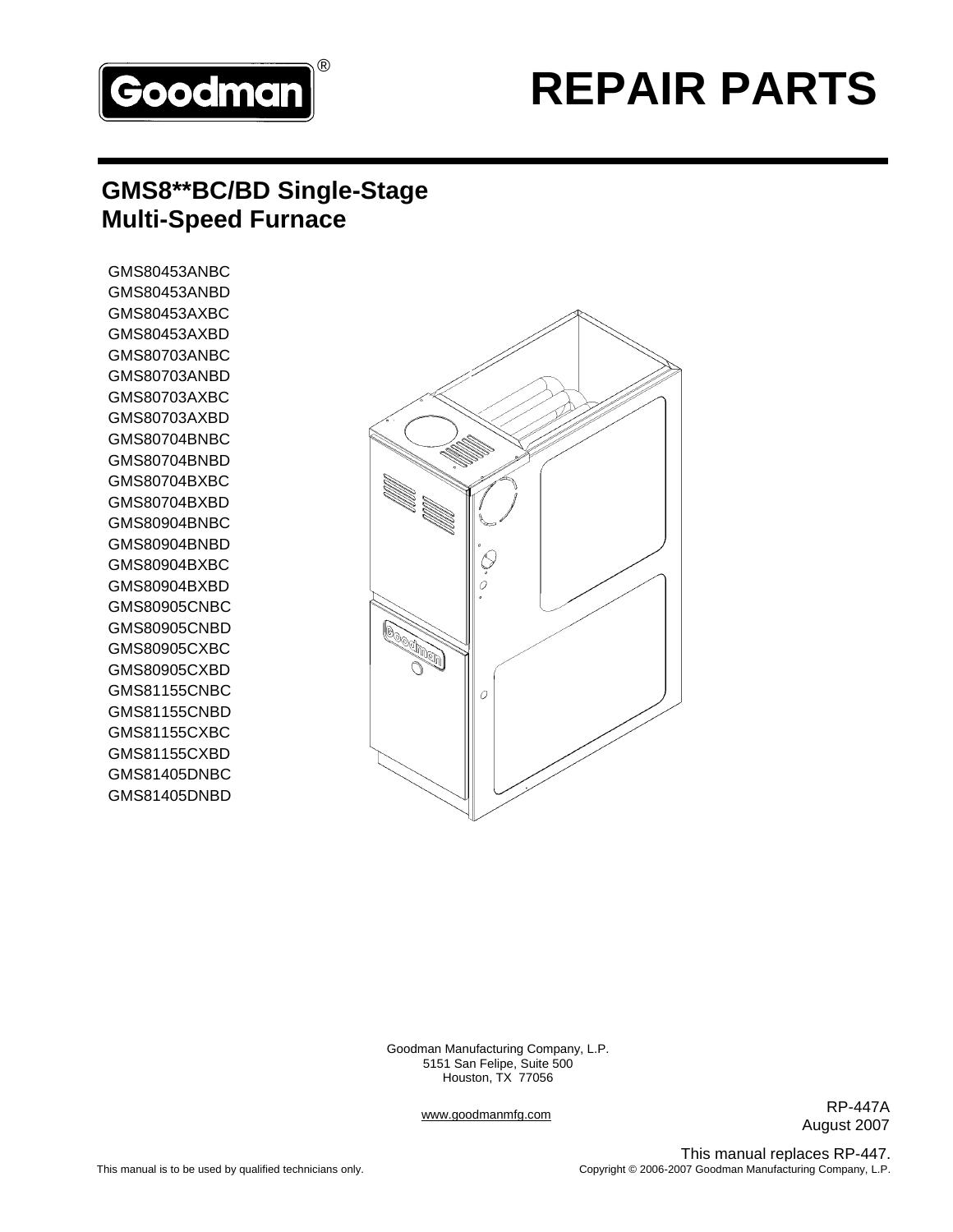

# **REPAIR PARTS** ®

## **GMS8\*\*BC/BD Single-Stage Multi-Speed Furnace**

GMS80453ANBC GMS80453ANBD GMS80453AXBC GMS80453AXBD GMS80703ANBC GMS80703ANBD GMS80703AXBC GMS80703AXBD GMS80704BNBC GMS80704BNBD GMS80704BXBC GMS80704BXBD GMS80904BNBC GMS80904BNBD GMS80904BXBC GMS80904BXBD GMS80905CNBC GMS80905CNBD GMS80905CXBC GMS80905CXBD GMS81155CNBC GMS81155CNBD GMS81155CXBC GMS81155CXBD GMS81405DNBC GMS81405DNBD



Goodman Manufacturing Company, L.P. 5151 San Felipe, Suite 500 Houston, TX 77056

www.goodmanmfg.com

RP-447A August 2007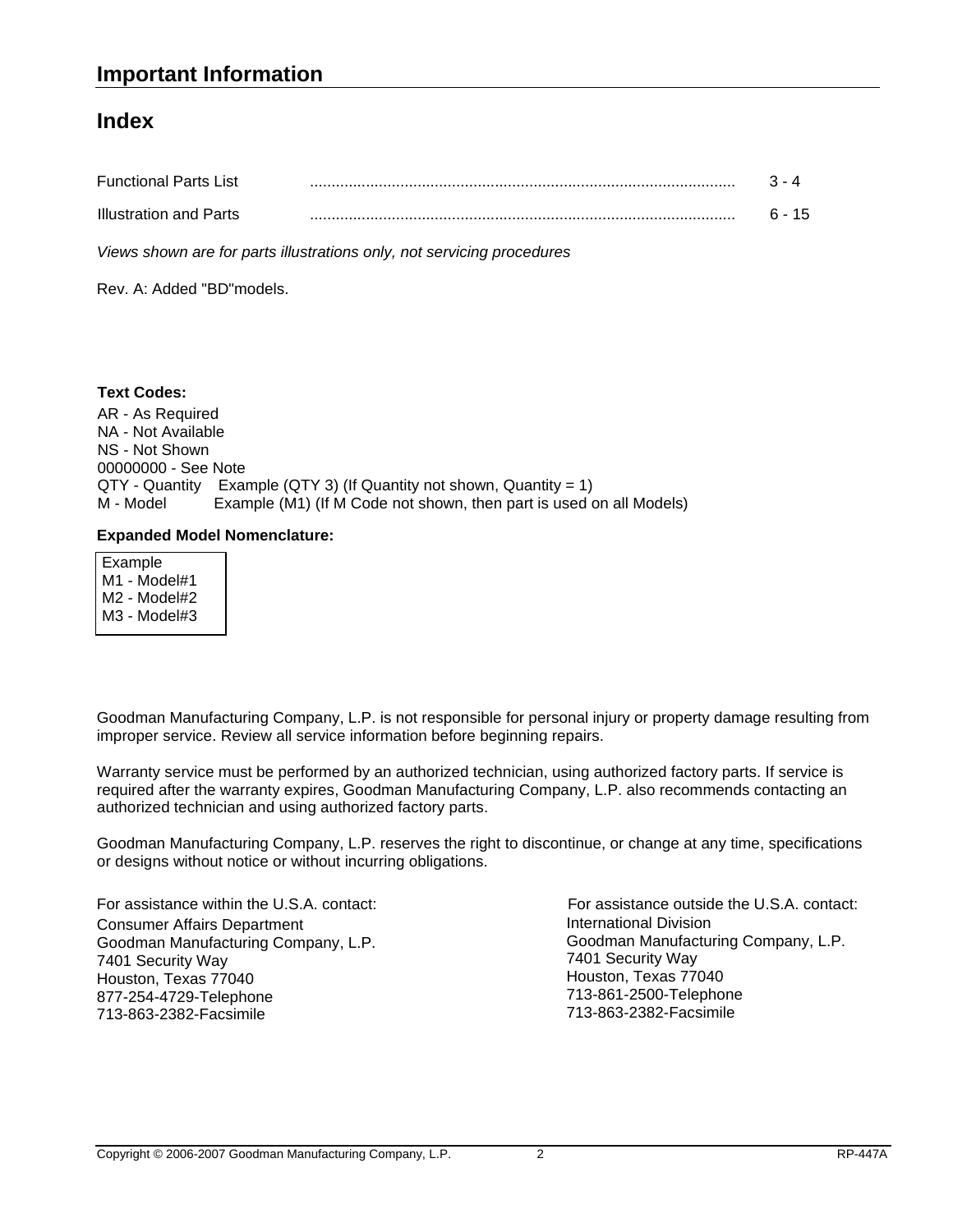#### **Index**

| <b>Functional Parts List</b> |  |
|------------------------------|--|
| Illustration and Parts       |  |

*Views shown are for parts illustrations only, not servicing procedures*

Rev. A: Added "BD"models.

#### **Text Codes:**

AR - As Required NA - Not Available NS - Not Shown 00000000 - See Note QTY - Quantity Example (QTY 3) (If Quantity not shown, Quantity = 1) M - Model Example (M1) (If M Code not shown, then part is used on all Models)

#### **Expanded Model Nomenclature:**

| Example      |  |  |
|--------------|--|--|
| M1 - Model#1 |  |  |
| M2 - Model#2 |  |  |
| M3 - Model#3 |  |  |
|              |  |  |

Goodman Manufacturing Company, L.P. is not responsible for personal injury or property damage resulting from improper service. Review all service information before beginning repairs.

Warranty service must be performed by an authorized technician, using authorized factory parts. If service is required after the warranty expires, Goodman Manufacturing Company, L.P. also recommends contacting an authorized technician and using authorized factory parts.

Goodman Manufacturing Company, L.P. reserves the right to discontinue, or change at any time, specifications or designs without notice or without incurring obligations.

For assistance within the U.S.A. contact: Consumer Affairs Department Goodman Manufacturing Company, L.P. 7401 Security Way Houston, Texas 77040 877-254-4729-Telephone 713-863-2382-Facsimile

International Division Goodman Manufacturing Company, L.P. 7401 Security Way Houston, Texas 77040 713-861-2500-Telephone 713-863-2382-Facsimile For assistance outside the U.S.A. contact: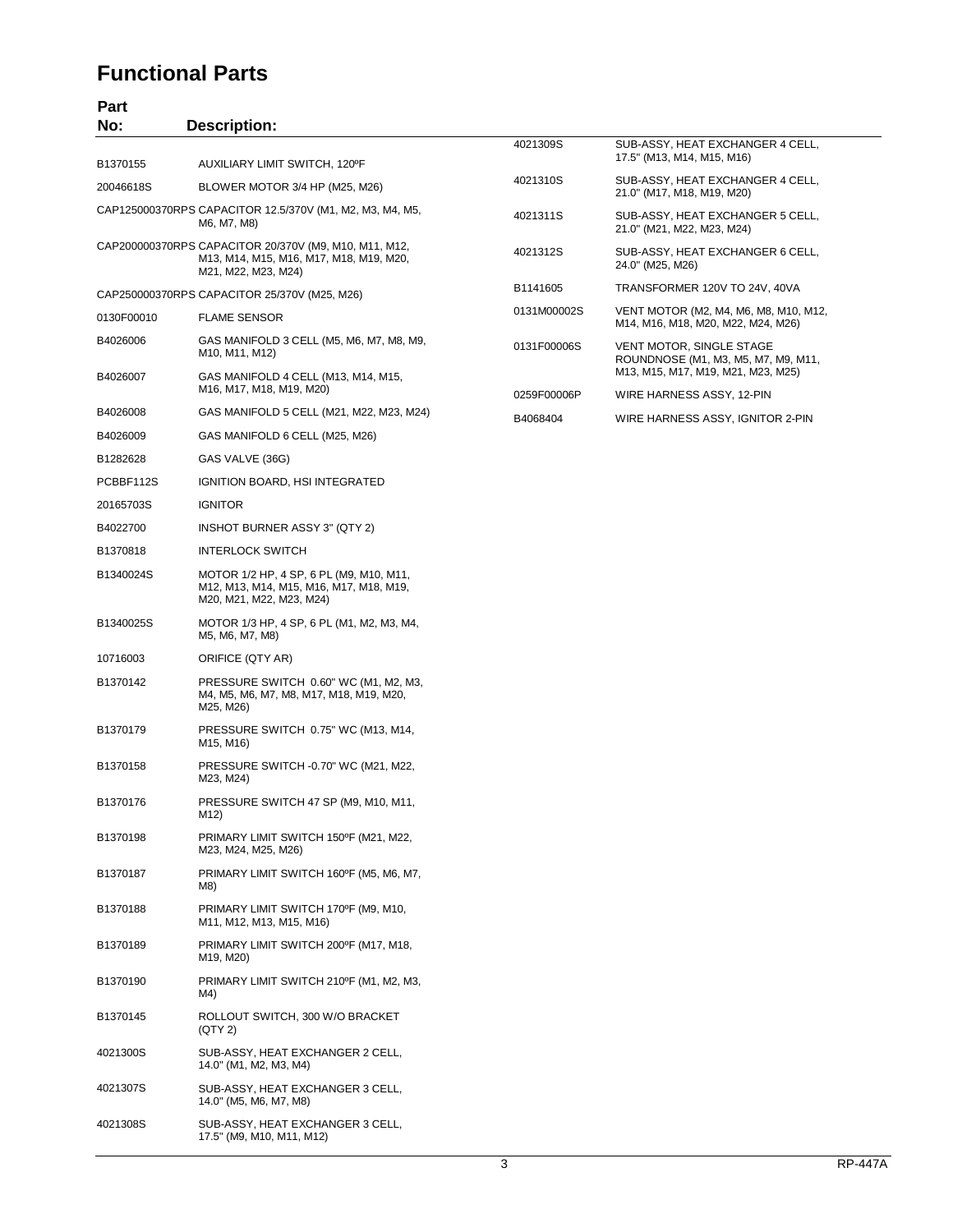#### **Functional Parts**

# **Part**

| No:        | <b>Description:</b>                                                                                                     |             |                                                                             |
|------------|-------------------------------------------------------------------------------------------------------------------------|-------------|-----------------------------------------------------------------------------|
|            |                                                                                                                         | 4021309S    | SUB-ASSY, HEAT EXCHANGER 4 CELL,                                            |
| B1370155   | AUXILIARY LIMIT SWITCH, 120°F                                                                                           |             | 17.5" (M13, M14, M15, M16)                                                  |
| 20046618S  | BLOWER MOTOR 3/4 HP (M25, M26)                                                                                          | 4021310S    | SUB-ASSY, HEAT EXCHANGER 4 CELL,<br>21.0" (M17, M18, M19, M20)              |
|            | CAP125000370RPS CAPACITOR 12.5/370V (M1, M2, M3, M4, M5,<br>M6, M7, M8)                                                 | 4021311S    | SUB-ASSY, HEAT EXCHANGER 5 CELL,<br>21.0" (M21, M22, M23, M24)              |
|            | CAP200000370RPS CAPACITOR 20/370V (M9, M10, M11, M12,<br>M13, M14, M15, M16, M17, M18, M19, M20,<br>M21, M22, M23, M24) | 4021312S    | SUB-ASSY, HEAT EXCHANGER 6 CELL,<br>24.0" (M25, M26)                        |
|            | CAP250000370RPS CAPACITOR 25/370V (M25, M26)                                                                            | B1141605    | TRANSFORMER 120V TO 24V, 40VA                                               |
| 0130F00010 | <b>FLAME SENSOR</b>                                                                                                     | 0131M00002S | VENT MOTOR (M2, M4, M6, M8, M10, M12,<br>M14, M16, M18, M20, M22, M24, M26) |
| B4026006   | GAS MANIFOLD 3 CELL (M5, M6, M7, M8, M9,<br>M <sub>10</sub> , M <sub>11</sub> , M <sub>12</sub> )                       | 0131F00006S | VENT MOTOR, SINGLE STAGE<br>ROUNDNOSE (M1, M3, M5, M7, M9, M11,             |
| B4026007   | GAS MANIFOLD 4 CELL (M13, M14, M15,<br>M16, M17, M18, M19, M20)                                                         | 0259F00006P | M13, M15, M17, M19, M21, M23, M25)<br>WIRE HARNESS ASSY, 12-PIN             |
| B4026008   | GAS MANIFOLD 5 CELL (M21, M22, M23, M24)                                                                                | B4068404    | WIRE HARNESS ASSY, IGNITOR 2-PIN                                            |
| B4026009   | GAS MANIFOLD 6 CELL (M25, M26)                                                                                          |             |                                                                             |
| B1282628   | GAS VALVE (36G)                                                                                                         |             |                                                                             |
| PCBBF112S  | IGNITION BOARD, HSI INTEGRATED                                                                                          |             |                                                                             |
| 20165703S  | <b>IGNITOR</b>                                                                                                          |             |                                                                             |
| B4022700   | INSHOT BURNER ASSY 3" (QTY 2)                                                                                           |             |                                                                             |
| B1370818   | <b>INTERLOCK SWITCH</b>                                                                                                 |             |                                                                             |
| B1340024S  | MOTOR 1/2 HP, 4 SP, 6 PL (M9, M10, M11,<br>M12, M13, M14, M15, M16, M17, M18, M19,<br>M20, M21, M22, M23, M24)          |             |                                                                             |
| B1340025S  | MOTOR 1/3 HP, 4 SP, 6 PL (M1, M2, M3, M4,<br>M5, M6, M7, M8)                                                            |             |                                                                             |
| 10716003   | ORIFICE (QTY AR)                                                                                                        |             |                                                                             |
| B1370142   | PRESSURE SWITCH 0.60" WC (M1, M2, M3,<br>M4, M5, M6, M7, M8, M17, M18, M19, M20,<br>M25, M26)                           |             |                                                                             |
| B1370179   | PRESSURE SWITCH 0.75" WC (M13, M14,<br>M15, M16)                                                                        |             |                                                                             |
| B1370158   | PRESSURE SWITCH -0.70" WC (M21, M22,<br>M23, M24)                                                                       |             |                                                                             |
| B1370176   | PRESSURE SWITCH 47 SP (M9, M10, M11,<br>M12)                                                                            |             |                                                                             |
| B1370198   | PRIMARY LIMIT SWITCH 150°F (M21, M22,<br>M23, M24, M25, M26)                                                            |             |                                                                             |
| B1370187   | PRIMARY LIMIT SWITCH 160°F (M5, M6, M7,<br>M8)                                                                          |             |                                                                             |
| B1370188   | PRIMARY LIMIT SWITCH 170°F (M9, M10,<br>M11, M12, M13, M15, M16)                                                        |             |                                                                             |
| B1370189   | PRIMARY LIMIT SWITCH 200°F (M17, M18,<br>M19, M20)                                                                      |             |                                                                             |
| B1370190   | PRIMARY LIMIT SWITCH 210°F (M1, M2, M3,<br>M4)                                                                          |             |                                                                             |
| B1370145   | ROLLOUT SWITCH, 300 W/O BRACKET<br>(QTY 2)                                                                              |             |                                                                             |
| 4021300S   | SUB-ASSY, HEAT EXCHANGER 2 CELL,<br>14.0" (M1, M2, M3, M4)                                                              |             |                                                                             |
| 4021307S   | SUB-ASSY, HEAT EXCHANGER 3 CELL,<br>14.0" (M5, M6, M7, M8)                                                              |             |                                                                             |
| 4021308S   | SUB-ASSY, HEAT EXCHANGER 3 CELL,<br>17.5" (M9, M10, M11, M12)                                                           |             |                                                                             |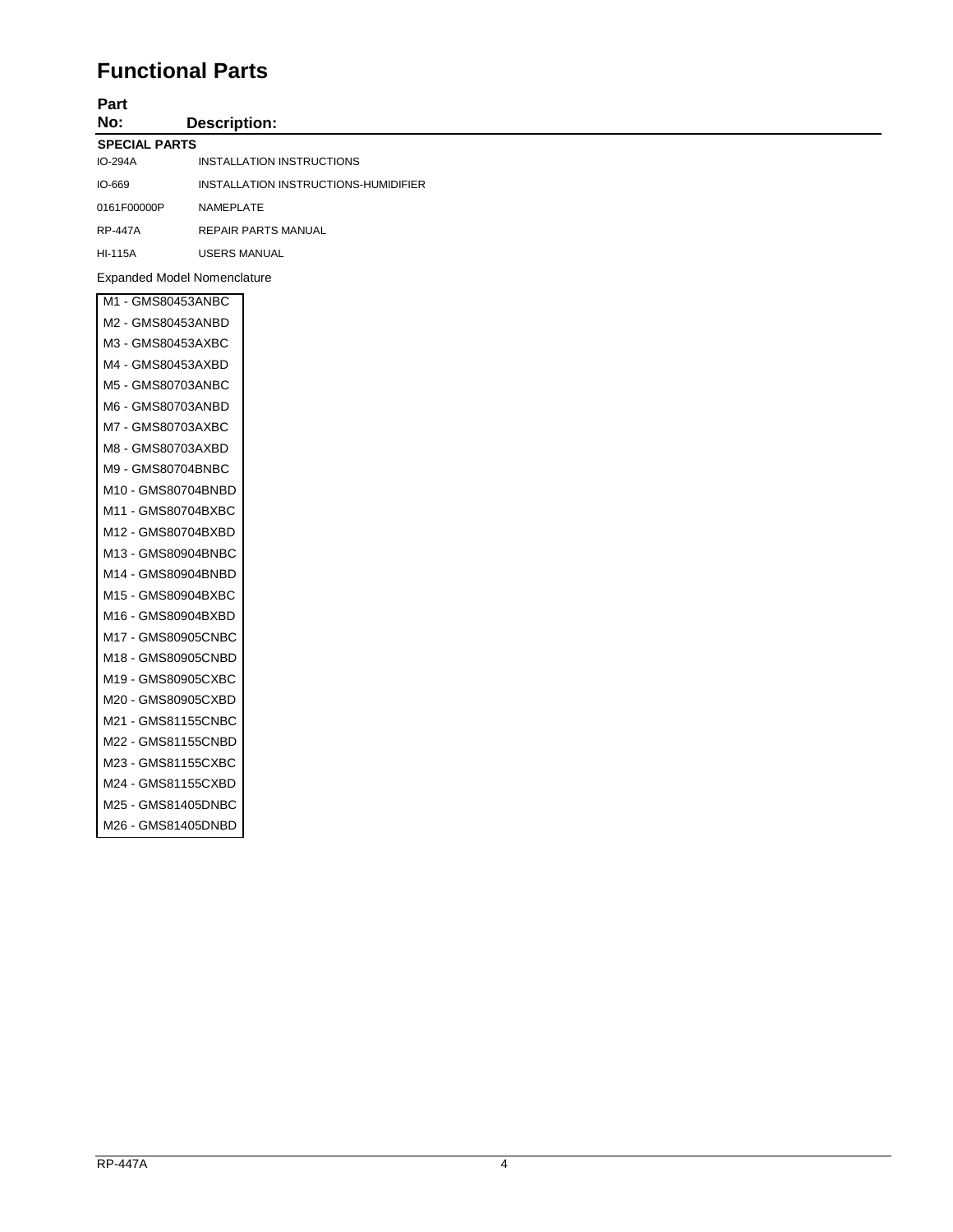#### **Functional Parts**

| Part                 |                                      |  |  |  |  |  |
|----------------------|--------------------------------------|--|--|--|--|--|
| No:                  | <b>Description:</b>                  |  |  |  |  |  |
| <b>SPECIAL PARTS</b> |                                      |  |  |  |  |  |
| IO-294A              | <b>INSTALLATION INSTRUCTIONS</b>     |  |  |  |  |  |
| IO-669               | INSTALLATION INSTRUCTIONS-HUMIDIFIER |  |  |  |  |  |
| 0161F00000P          | NAMEPLATE                            |  |  |  |  |  |
| <b>RP-447A</b>       | REPAIR PARTS MANUAL                  |  |  |  |  |  |
| <b>HI-115A</b>       | <b>USERS MANUAL</b>                  |  |  |  |  |  |
|                      | Expanded Model Nomenclature          |  |  |  |  |  |
| M1 - GMS80453ANBC    |                                      |  |  |  |  |  |
| M2 - GMS80453ANBD    |                                      |  |  |  |  |  |
| M3 - GMS80453AXBC    |                                      |  |  |  |  |  |
| M4 - GMS80453AXBD    |                                      |  |  |  |  |  |
| M5 - GMS80703ANBC    |                                      |  |  |  |  |  |
| M6 - GMS80703ANBD    |                                      |  |  |  |  |  |
| M7 - GMS80703AXBC    |                                      |  |  |  |  |  |
| M8 - GMS80703AXBD    |                                      |  |  |  |  |  |
| M9 - GMS80704BNBC    |                                      |  |  |  |  |  |
| M10 - GMS80704BNBD   |                                      |  |  |  |  |  |
| M11 - GMS80704BXBC   |                                      |  |  |  |  |  |
| M12 - GMS80704BXBD   |                                      |  |  |  |  |  |
| M13 - GMS80904BNBC   |                                      |  |  |  |  |  |
| M14 - GMS80904BNBD   |                                      |  |  |  |  |  |
| M15 - GMS80904BXBC   |                                      |  |  |  |  |  |
| M16 - GMS80904BXBD   |                                      |  |  |  |  |  |
| M17 - GMS80905CNBC   |                                      |  |  |  |  |  |
| M18 - GMS80905CNBD   |                                      |  |  |  |  |  |
| M19 - GMS80905CXBC   |                                      |  |  |  |  |  |
| M20 - GMS80905CXBD   |                                      |  |  |  |  |  |
| M21 - GMS81155CNBC   |                                      |  |  |  |  |  |
| M22 - GMS81155CNBD   |                                      |  |  |  |  |  |
| M23 - GMS81155CXBC   |                                      |  |  |  |  |  |
| M24 - GMS81155CXBD   |                                      |  |  |  |  |  |
| M25 - GMS81405DNBC   |                                      |  |  |  |  |  |
| M26 - GMS81405DNBD   |                                      |  |  |  |  |  |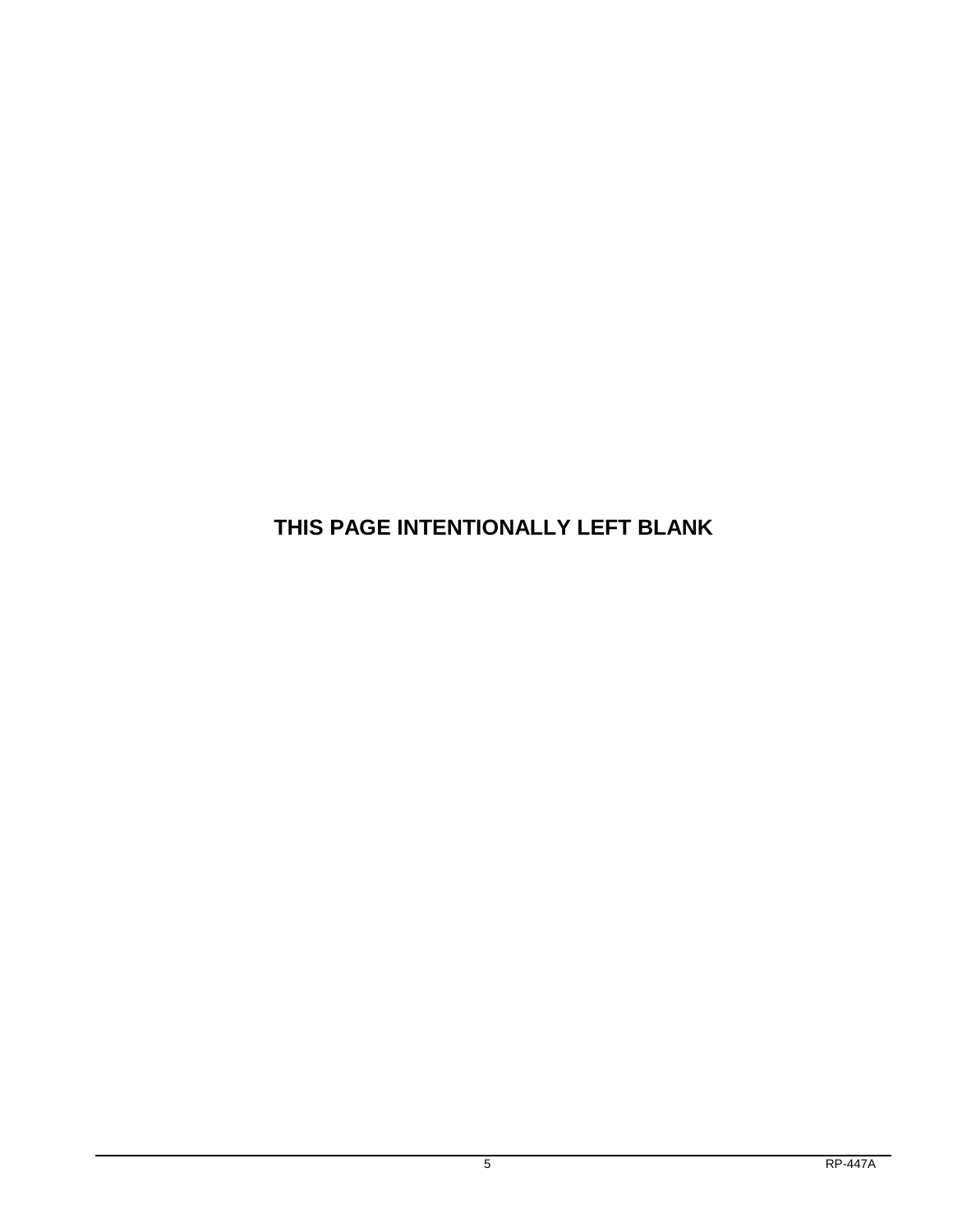**THIS PAGE INTENTIONALLY LEFT BLANK**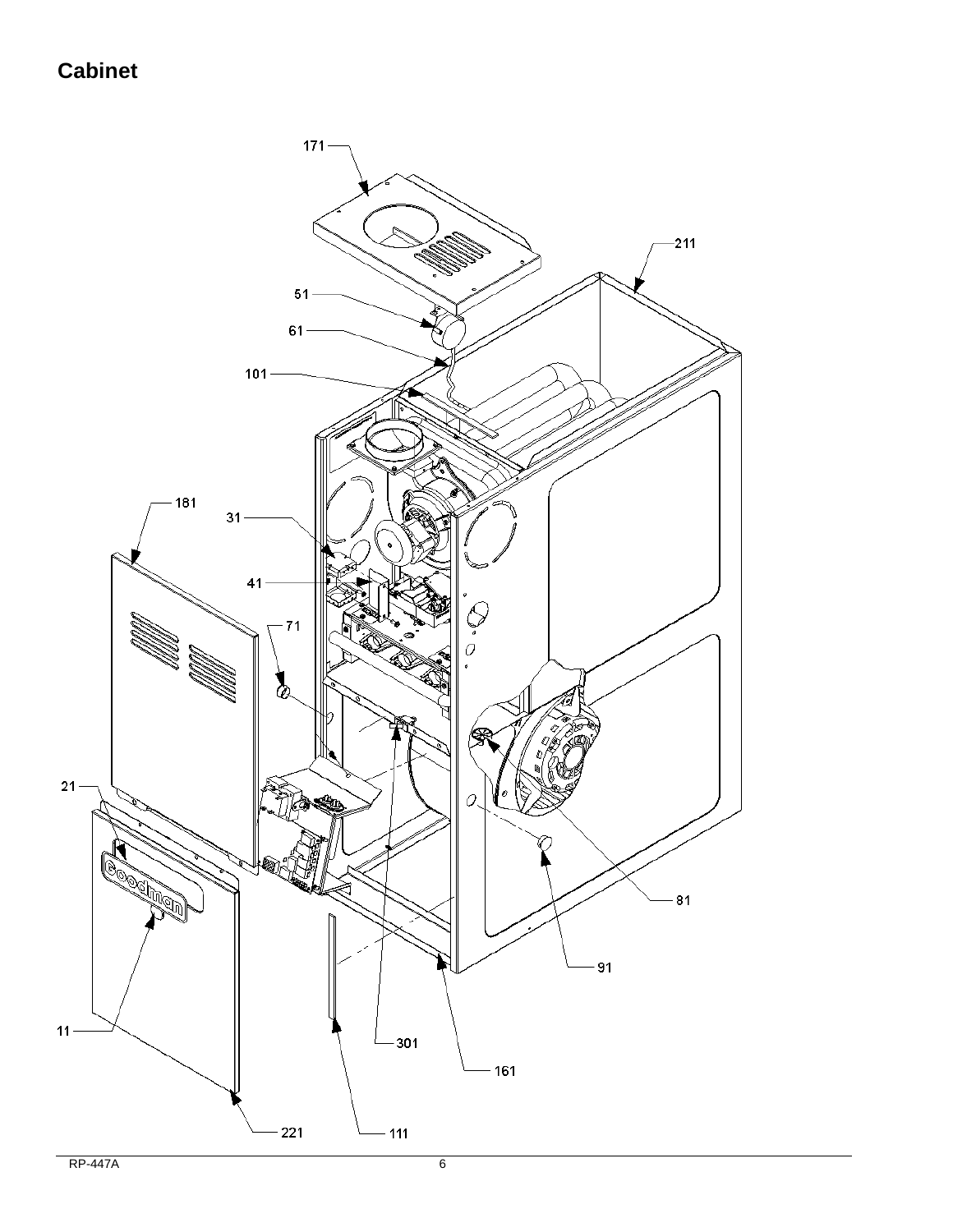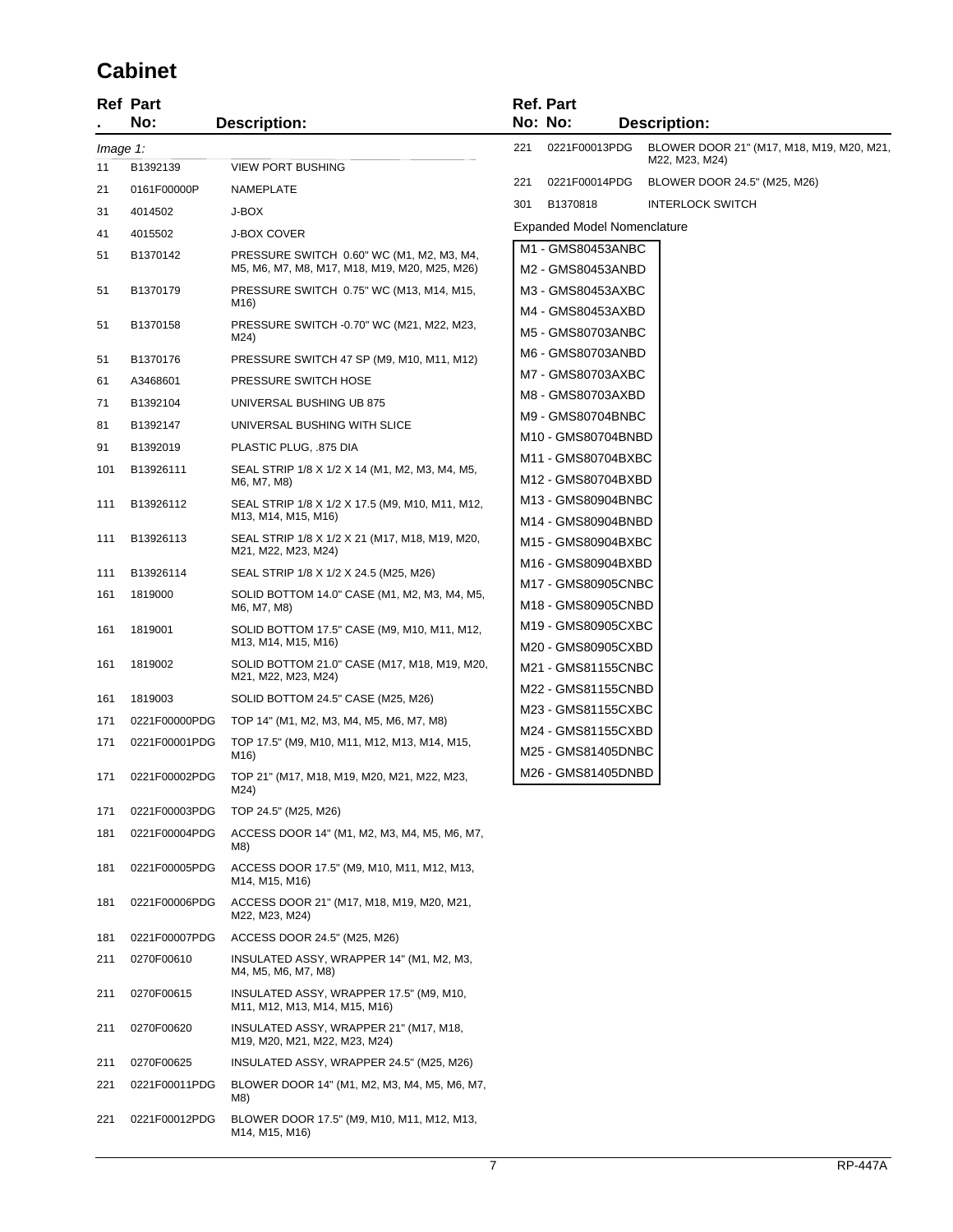#### **Cabinet**

|          | <b>Ref Part</b><br>No: | Description:                                                                               |     | <b>Ref. Part</b><br>No: No: |                                          | <b>Description:</b>                       |
|----------|------------------------|--------------------------------------------------------------------------------------------|-----|-----------------------------|------------------------------------------|-------------------------------------------|
| Image 1: |                        |                                                                                            | 221 |                             | 0221F00013PDG                            | BLOWER DOOR 21" (M17, M18, M19, M20, M21, |
| 11       | B1392139               | <b>VIEW PORT BUSHING</b>                                                                   |     |                             |                                          | M22, M23, M24)                            |
| 21       | 0161F00000P            | NAMEPLATE                                                                                  | 221 |                             | 0221F00014PDG                            | BLOWER DOOR 24.5" (M25, M26)              |
| 31       | 4014502                | J-BOX                                                                                      | 301 |                             | B1370818                                 | <b>INTERLOCK SWITCH</b>                   |
| 41       | 4015502                | J-BOX COVER                                                                                |     |                             |                                          | Expanded Model Nomenclature               |
| 51       | B1370142               | PRESSURE SWITCH 0.60" WC (M1, M2, M3, M4,<br>M5, M6, M7, M8, M17, M18, M19, M20, M25, M26) |     |                             | M1 - GMS80453ANBC<br>M2 - GMS80453ANBD   |                                           |
| 51       | B1370179               | PRESSURE SWITCH 0.75" WC (M13, M14, M15,<br>M16)                                           |     |                             | M3 - GMS80453AXBC                        |                                           |
| 51       | B1370158               | PRESSURE SWITCH -0.70" WC (M21, M22, M23,<br>M24)                                          |     |                             | M4 - GMS80453AXBD<br>M5 - GMS80703ANBC   |                                           |
| 51       | B1370176               | PRESSURE SWITCH 47 SP (M9, M10, M11, M12)                                                  |     |                             | M6 - GMS80703ANBD                        |                                           |
| 61       | A3468601               | PRESSURE SWITCH HOSE                                                                       |     |                             | M7 - GMS80703AXBC                        |                                           |
| 71       | B1392104               | UNIVERSAL BUSHING UB 875                                                                   |     |                             | M8 - GMS80703AXBD                        |                                           |
| 81       | B1392147               | UNIVERSAL BUSHING WITH SLICE                                                               |     |                             | M9 - GMS80704BNBC                        |                                           |
| 91       | B1392019               | PLASTIC PLUG, .875 DIA                                                                     |     |                             | M10 - GMS80704BNBD                       |                                           |
| 101      | B13926111              | SEAL STRIP 1/8 X 1/2 X 14 (M1, M2, M3, M4, M5,<br>M6, M7, M8)                              |     |                             | M11 - GMS80704BXBC<br>M12 - GMS80704BXBD |                                           |
| 111      | B13926112              | SEAL STRIP 1/8 X 1/2 X 17.5 (M9, M10, M11, M12,<br>M13, M14, M15, M16)                     |     |                             | M13 - GMS80904BNBC<br>M14 - GMS80904BNBD |                                           |
| 111      | B13926113              | SEAL STRIP 1/8 X 1/2 X 21 (M17, M18, M19, M20,<br>M21, M22, M23, M24)                      |     |                             | M15 - GMS80904BXBC                       |                                           |
| 111      | B13926114              | SEAL STRIP 1/8 X 1/2 X 24.5 (M25, M26)                                                     |     |                             | M16 - GMS80904BXBD                       |                                           |
| 161      | 1819000                | SOLID BOTTOM 14.0" CASE (M1, M2, M3, M4, M5,<br>M6, M7, M8)                                |     |                             | M17 - GMS80905CNBC<br>M18 - GMS80905CNBD |                                           |
| 161      | 1819001                | SOLID BOTTOM 17.5" CASE (M9, M10, M11, M12,<br>M13, M14, M15, M16)                         |     |                             | M19 - GMS80905CXBC<br>M20 - GMS80905CXBD |                                           |
| 161      | 1819002                | SOLID BOTTOM 21.0" CASE (M17, M18, M19, M20,<br>M21, M22, M23, M24)                        |     |                             | M21 - GMS81155CNBC                       |                                           |
| 161      | 1819003                | SOLID BOTTOM 24.5" CASE (M25, M26)                                                         |     |                             | M22 - GMS81155CNBD                       |                                           |
| 171      | 0221F00000PDG          | TOP 14" (M1, M2, M3, M4, M5, M6, M7, M8)                                                   |     |                             | M23 - GMS81155CXBC                       |                                           |
| 171      | 0221F00001PDG          | TOP 17.5" (M9, M10, M11, M12, M13, M14, M15,<br>M16)                                       |     |                             | M24 - GMS81155CXBD<br>M25 - GMS81405DNBC |                                           |
| 171      | 0221F00002PDG          | TOP 21" (M17, M18, M19, M20, M21, M22, M23,<br>M24)                                        |     |                             | M26 - GMS81405DNBD                       |                                           |
| 171      | 0221F00003PDG          | TOP 24.5" (M25, M26)                                                                       |     |                             |                                          |                                           |
| 181      | 0221F00004PDG          | ACCESS DOOR 14" (M1, M2, M3, M4, M5, M6, M7,<br>M8)                                        |     |                             |                                          |                                           |
| 181      | 0221F00005PDG          | ACCESS DOOR 17.5" (M9, M10, M11, M12, M13,<br>M14, M15, M16)                               |     |                             |                                          |                                           |
| 181      | 0221F00006PDG          | ACCESS DOOR 21" (M17, M18, M19, M20, M21,<br>M22, M23, M24)                                |     |                             |                                          |                                           |
| 181      | 0221F00007PDG          | ACCESS DOOR 24.5" (M25, M26)                                                               |     |                             |                                          |                                           |
| 211      | 0270F00610             | INSULATED ASSY, WRAPPER 14" (M1, M2, M3,<br>M4, M5, M6, M7, M8)                            |     |                             |                                          |                                           |
| 211      | 0270F00615             | INSULATED ASSY, WRAPPER 17.5" (M9, M10,<br>M11, M12, M13, M14, M15, M16)                   |     |                             |                                          |                                           |
| 211      | 0270F00620             | INSULATED ASSY, WRAPPER 21" (M17, M18,<br>M19, M20, M21, M22, M23, M24)                    |     |                             |                                          |                                           |
| 211      | 0270F00625             | INSULATED ASSY, WRAPPER 24.5" (M25, M26)                                                   |     |                             |                                          |                                           |
| 221      | 0221F00011PDG          | BLOWER DOOR 14" (M1, M2, M3, M4, M5, M6, M7,<br>M8)                                        |     |                             |                                          |                                           |
| 221      | 0221F00012PDG          | BLOWER DOOR 17.5" (M9, M10, M11, M12, M13,<br>M14, M15, M16)                               |     |                             |                                          |                                           |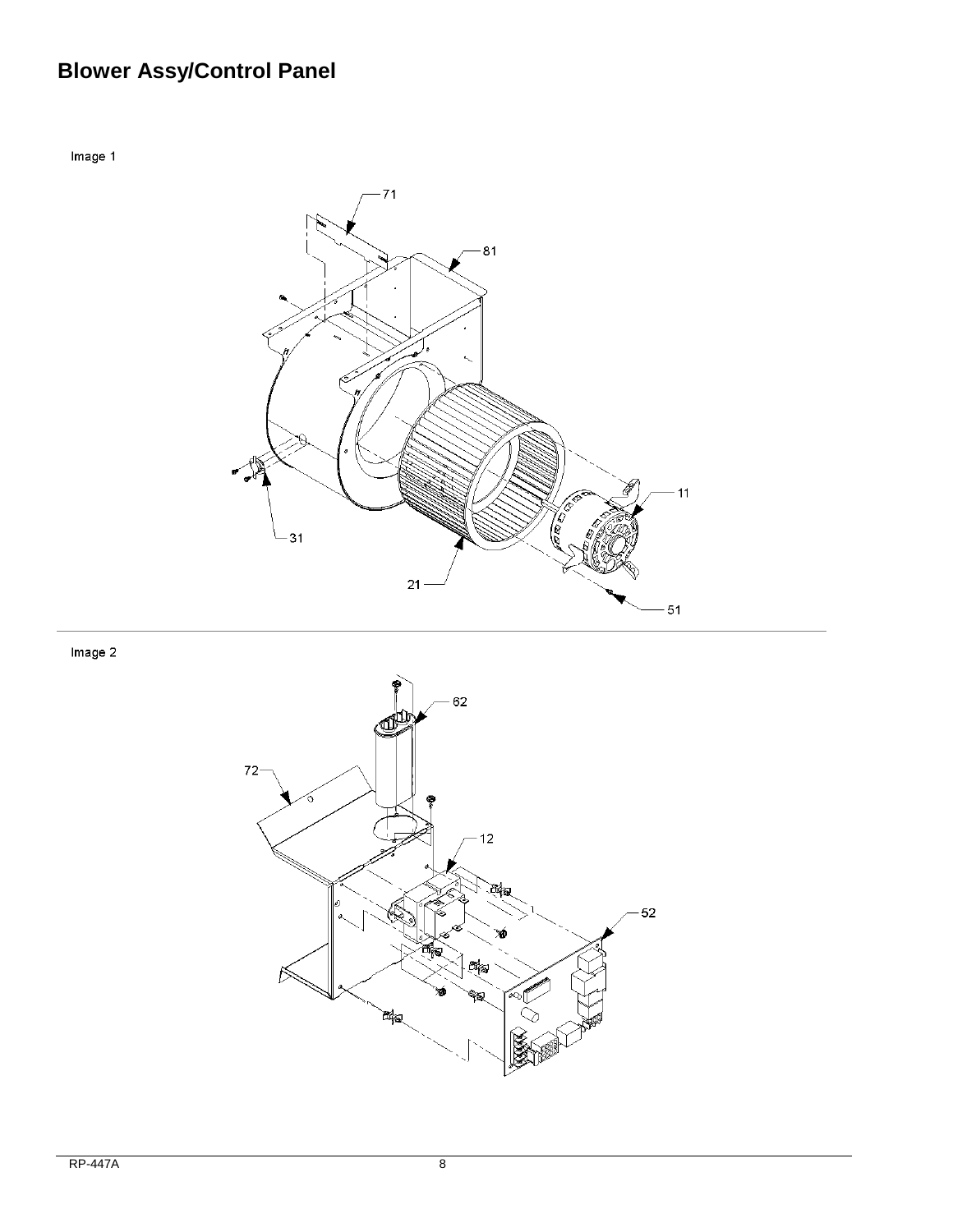# **Blower Assy/Control Panel**





Image 2

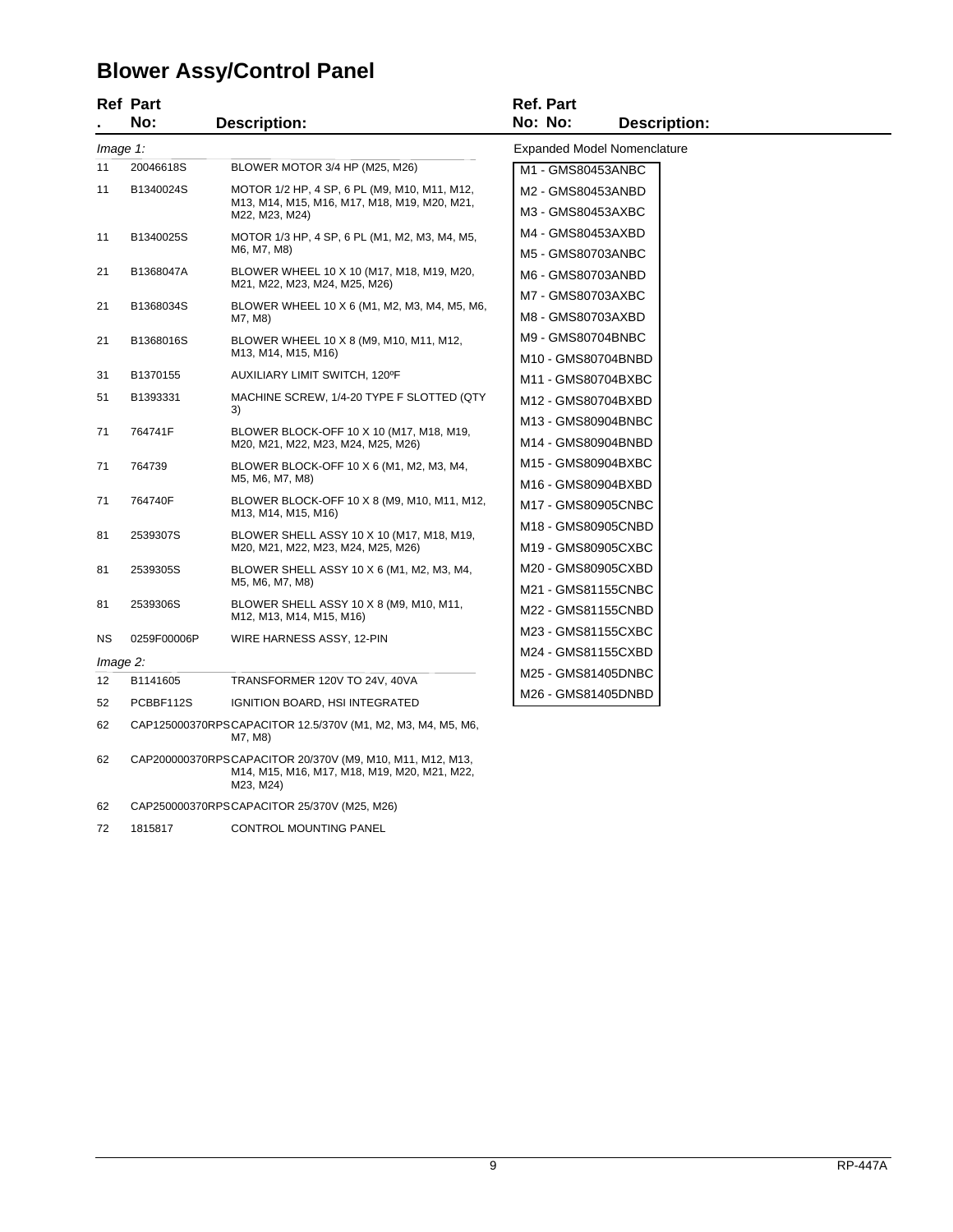#### **Blower Assy/Control Panel**

|                   | <b>Ref Part</b><br>No: | <b>Description:</b>                                                                          | Ref. Part<br>No: No:<br><b>Description:</b> |
|-------------------|------------------------|----------------------------------------------------------------------------------------------|---------------------------------------------|
|                   |                        |                                                                                              | <b>Expanded Model Nomenclature</b>          |
| $Image 1$ :<br>11 | 20046618S              | BLOWER MOTOR 3/4 HP (M25, M26)                                                               |                                             |
|                   |                        |                                                                                              | M1 - GMS80453ANBC                           |
| 11                | B1340024S              | MOTOR 1/2 HP, 4 SP, 6 PL (M9, M10, M11, M12,<br>M13, M14, M15, M16, M17, M18, M19, M20, M21, | M2 - GMS80453ANBD                           |
|                   |                        | M22, M23, M24)                                                                               | M3 - GMS80453AXBC                           |
| 11                | B1340025S              | MOTOR 1/3 HP, 4 SP, 6 PL (M1, M2, M3, M4, M5,<br>M6, M7, M8)                                 | M4 - GMS80453AXBD<br>M5 - GMS80703ANBC      |
| 21                | B1368047A              | BLOWER WHEEL 10 X 10 (M17, M18, M19, M20,                                                    | M6 - GMS80703ANBD                           |
|                   |                        | M21, M22, M23, M24, M25, M26)                                                                |                                             |
| 21                | B1368034S              | BLOWER WHEEL 10 X 6 (M1, M2, M3, M4, M5, M6,<br>M7, M8)                                      | M7 - GMS80703AXBC<br>M8 - GMS80703AXBD      |
| 21                | B1368016S              | BLOWER WHEEL 10 X 8 (M9, M10, M11, M12,                                                      | M9 - GMS80704BNBC                           |
|                   |                        | M13, M14, M15, M16)                                                                          | M10 - GMS80704BNBD                          |
| 31                | B1370155               | AUXILIARY LIMIT SWITCH, 120°F                                                                | M11 - GMS80704BXBC                          |
| 51                | B1393331               | MACHINE SCREW, 1/4-20 TYPE F SLOTTED (QTY                                                    | M12 - GMS80704BXBD                          |
|                   |                        | 3)                                                                                           | M13 - GMS80904BNBC                          |
| 71                | 764741F                | BLOWER BLOCK-OFF 10 X 10 (M17, M18, M19,<br>M20, M21, M22, M23, M24, M25, M26)               | M14 - GMS80904BNBD                          |
| 71                | 764739                 | BLOWER BLOCK-OFF 10 X 6 (M1, M2, M3, M4,                                                     | M15 - GMS80904BXBC                          |
|                   |                        | M5, M6, M7, M8)                                                                              | M16 - GMS80904BXBD                          |
| 71                | 764740F                | BLOWER BLOCK-OFF 10 X 8 (M9, M10, M11, M12,<br>M13, M14, M15, M16)                           | M17 - GMS80905CNBC                          |
| 81                | 2539307S               | BLOWER SHELL ASSY 10 X 10 (M17, M18, M19,                                                    | M18 - GMS80905CNBD                          |
|                   |                        | M20, M21, M22, M23, M24, M25, M26)                                                           | M19 - GMS80905CXBC                          |
| 81                | 2539305S               | BLOWER SHELL ASSY 10 X 6 (M1, M2, M3, M4,                                                    | M20 - GMS80905CXBD                          |
|                   |                        | M5, M6, M7, M8)                                                                              | M21 - GMS81155CNBC                          |
| 81                | 2539306S               | BLOWER SHELL ASSY 10 X 8 (M9, M10, M11,<br>M12, M13, M14, M15, M16)                          | M22 - GMS81155CNBD                          |
| ΝS                | 0259F00006P            | WIRE HARNESS ASSY, 12-PIN                                                                    | M23 - GMS81155CXBC                          |
| Image 2:          |                        |                                                                                              | M24 - GMS81155CXBD                          |
| 12 <sup>2</sup>   | B1141605               | TRANSFORMER 120V TO 24V, 40VA                                                                | M25 - GMS81405DNBC                          |
| 52                | PCBBF112S              | IGNITION BOARD, HSI INTEGRATED                                                               | M26 - GMS81405DNBD                          |
| 62                |                        | CAP125000370RPSCAPACITOR 12.5/370V (M1, M2, M3, M4, M5, M6,<br>M7, M8)                       |                                             |

CAPACITOR 20/370V (M9, M10, M11, M12, M13, M14, M15, M16, M17, M18, M19, M20, M21, M22,

M23, M24)

62 CAP250000370RPSCAPACITOR 25/370V (M25, M26) 72 1815817 CONTROL MOUNTING PANEL

62 CAP200000370RPS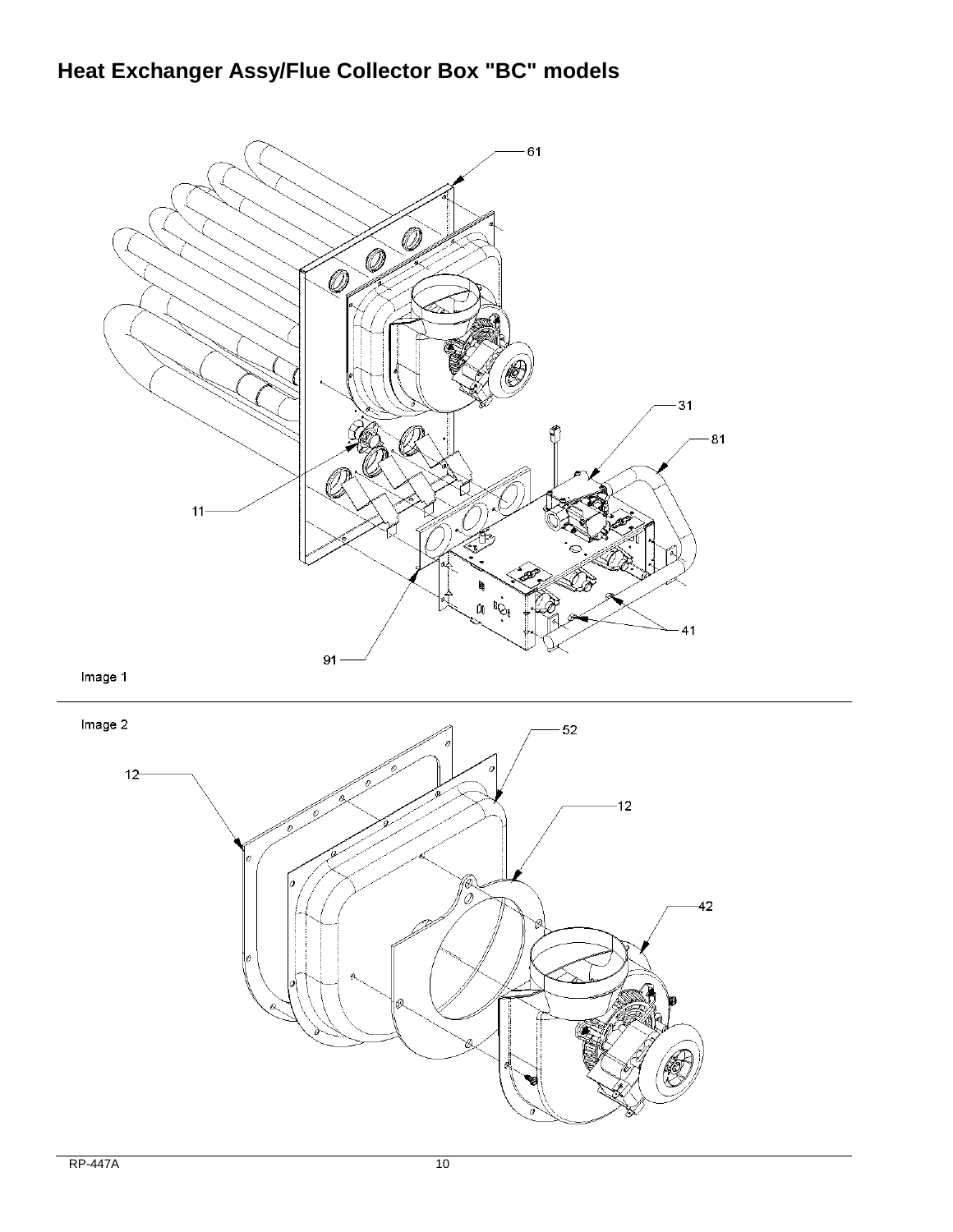## **Heat Exchanger Assy/Flue Collector Box "BC" models**



Image 1

Image 2

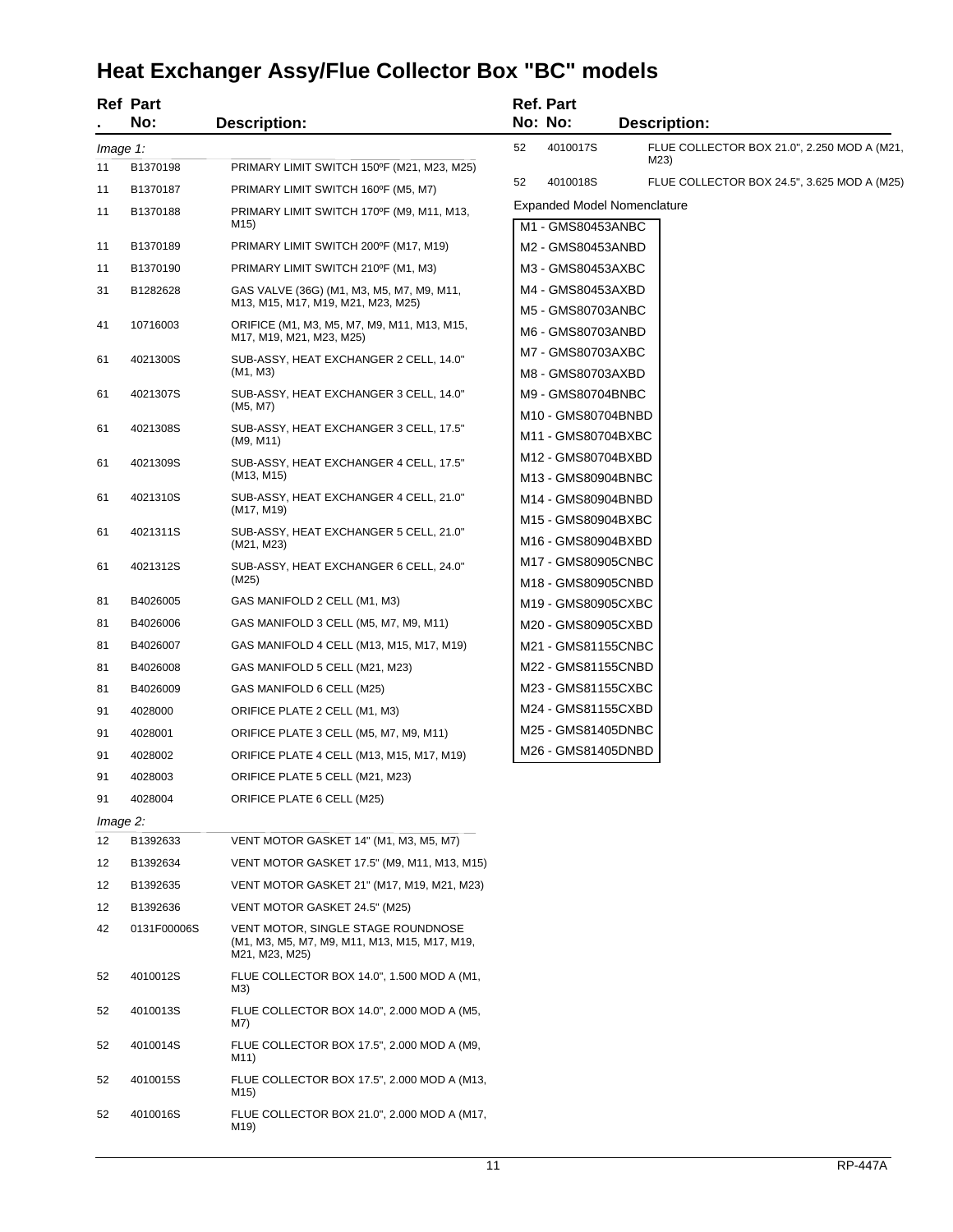# **Heat Exchanger Assy/Flue Collector Box "BC" models**

|          | <b>Ref Part</b> |                                                                                                       |    | <b>Ref. Part</b>                                        |                                             |
|----------|-----------------|-------------------------------------------------------------------------------------------------------|----|---------------------------------------------------------|---------------------------------------------|
|          | No:             | <b>Description:</b>                                                                                   |    | No: No:                                                 | <b>Description:</b>                         |
| Image 1: |                 |                                                                                                       | 52 | 4010017S                                                | FLUE COLLECTOR BOX 21.0", 2.250 MOD A (M21, |
| 11       | B1370198        | PRIMARY LIMIT SWITCH 150°F (M21, M23, M25)                                                            |    |                                                         | M23                                         |
| 11       | B1370187        | PRIMARY LIMIT SWITCH 160°F (M5, M7)                                                                   | 52 | 4010018S                                                | FLUE COLLECTOR BOX 24.5", 3.625 MOD A (M25) |
| 11       | B1370188        | PRIMARY LIMIT SWITCH 170°F (M9, M11, M13,<br>M15)                                                     |    | <b>Expanded Model Nomenclature</b><br>M1 - GMS80453ANBC |                                             |
| 11       | B1370189        | PRIMARY LIMIT SWITCH 200°F (M17, M19)                                                                 |    | M2 - GMS80453ANBD                                       |                                             |
| 11       | B1370190        | PRIMARY LIMIT SWITCH 210°F (M1, M3)                                                                   |    | M3 - GMS80453AXBC                                       |                                             |
| 31       | B1282628        | GAS VALVE (36G) (M1, M3, M5, M7, M9, M11,<br>M13, M15, M17, M19, M21, M23, M25)                       |    | M4 - GMS80453AXBD                                       |                                             |
| 41       | 10716003        | ORIFICE (M1, M3, M5, M7, M9, M11, M13, M15,<br>M17, M19, M21, M23, M25)                               |    | M5 - GMS80703ANBC<br>M6 - GMS80703ANBD                  |                                             |
| 61       | 4021300S        | SUB-ASSY, HEAT EXCHANGER 2 CELL, 14.0"<br>(M1, M3)                                                    |    | M7 - GMS80703AXBC                                       |                                             |
| 61       | 4021307S        | SUB-ASSY, HEAT EXCHANGER 3 CELL, 14.0"                                                                |    | M8 - GMS80703AXBD<br>M9 - GMS80704BNBC                  |                                             |
|          |                 | (M5, M7)                                                                                              |    | M10 - GMS80704BNBD                                      |                                             |
| 61       | 4021308S        | SUB-ASSY, HEAT EXCHANGER 3 CELL, 17.5"<br>(M9, M11)                                                   |    | M11 - GMS80704BXBC                                      |                                             |
| 61       | 4021309S        | SUB-ASSY, HEAT EXCHANGER 4 CELL, 17.5"                                                                |    | M12 - GMS80704BXBD                                      |                                             |
|          |                 | (M13, M15)                                                                                            |    | M13 - GMS80904BNBC                                      |                                             |
| 61       | 4021310S        | SUB-ASSY, HEAT EXCHANGER 4 CELL, 21.0"                                                                |    | M14 - GMS80904BNBD                                      |                                             |
|          |                 | (M17, M19)                                                                                            |    | M15 - GMS80904BXBC                                      |                                             |
| 61       | 4021311S        | SUB-ASSY, HEAT EXCHANGER 5 CELL, 21.0"<br>(M21, M23)                                                  |    | M16 - GMS80904BXBD                                      |                                             |
| 61       | 4021312S        | SUB-ASSY, HEAT EXCHANGER 6 CELL, 24.0"                                                                |    | M17 - GMS80905CNBC                                      |                                             |
|          |                 | (M25)                                                                                                 |    | M18 - GMS80905CNBD                                      |                                             |
| 81       | B4026005        | GAS MANIFOLD 2 CELL (M1, M3)                                                                          |    | M19 - GMS80905CXBC                                      |                                             |
| 81       | B4026006        | GAS MANIFOLD 3 CELL (M5, M7, M9, M11)                                                                 |    | M20 - GMS80905CXBD                                      |                                             |
| 81       | B4026007        | GAS MANIFOLD 4 CELL (M13, M15, M17, M19)                                                              |    | M21 - GMS81155CNBC                                      |                                             |
| 81       | B4026008        | GAS MANIFOLD 5 CELL (M21, M23)                                                                        |    | M22 - GMS81155CNBD                                      |                                             |
| 81       | B4026009        | GAS MANIFOLD 6 CELL (M25)                                                                             |    | M23 - GMS81155CXBC                                      |                                             |
| 91       | 4028000         | ORIFICE PLATE 2 CELL (M1, M3)                                                                         |    | M24 - GMS81155CXBD                                      |                                             |
| 91       | 4028001         | ORIFICE PLATE 3 CELL (M5, M7, M9, M11)                                                                |    | M25 - GMS81405DNBC                                      |                                             |
| 91       | 4028002         | ORIFICE PLATE 4 CELL (M13, M15, M17, M19)                                                             |    | M26 - GMS81405DNBD                                      |                                             |
| 91       | 4028003         | ORIFICE PLATE 5 CELL (M21, M23)                                                                       |    |                                                         |                                             |
| 91       | 4028004         | ORIFICE PLATE 6 CELL (M25)                                                                            |    |                                                         |                                             |
| Image 2: |                 |                                                                                                       |    |                                                         |                                             |
| 12       | B1392633        | VENT MOTOR GASKET 14" (M1, M3, M5, M7)                                                                |    |                                                         |                                             |
| 12       | B1392634        | VENT MOTOR GASKET 17.5" (M9, M11, M13, M15)                                                           |    |                                                         |                                             |
| 12       | B1392635        | VENT MOTOR GASKET 21" (M17, M19, M21, M23)                                                            |    |                                                         |                                             |
|          |                 |                                                                                                       |    |                                                         |                                             |
| 12       | B1392636        | VENT MOTOR GASKET 24.5" (M25)                                                                         |    |                                                         |                                             |
| 42       | 0131F00006S     | VENT MOTOR, SINGLE STAGE ROUNDNOSE<br>(M1, M3, M5, M7, M9, M11, M13, M15, M17, M19,<br>M21, M23, M25) |    |                                                         |                                             |
| 52       | 4010012S        | FLUE COLLECTOR BOX 14.0", 1.500 MOD A (M1,<br>M3)                                                     |    |                                                         |                                             |
| 52       | 4010013S        | FLUE COLLECTOR BOX 14.0", 2.000 MOD A (M5,<br>M7)                                                     |    |                                                         |                                             |
| 52       | 4010014S        | FLUE COLLECTOR BOX 17.5", 2.000 MOD A (M9,<br>M11)                                                    |    |                                                         |                                             |
| 52       | 4010015S        | FLUE COLLECTOR BOX 17.5", 2.000 MOD A (M13,<br>M15)                                                   |    |                                                         |                                             |
| 52       | 4010016S        | FLUE COLLECTOR BOX 21.0", 2.000 MOD A (M17,<br>M19)                                                   |    |                                                         |                                             |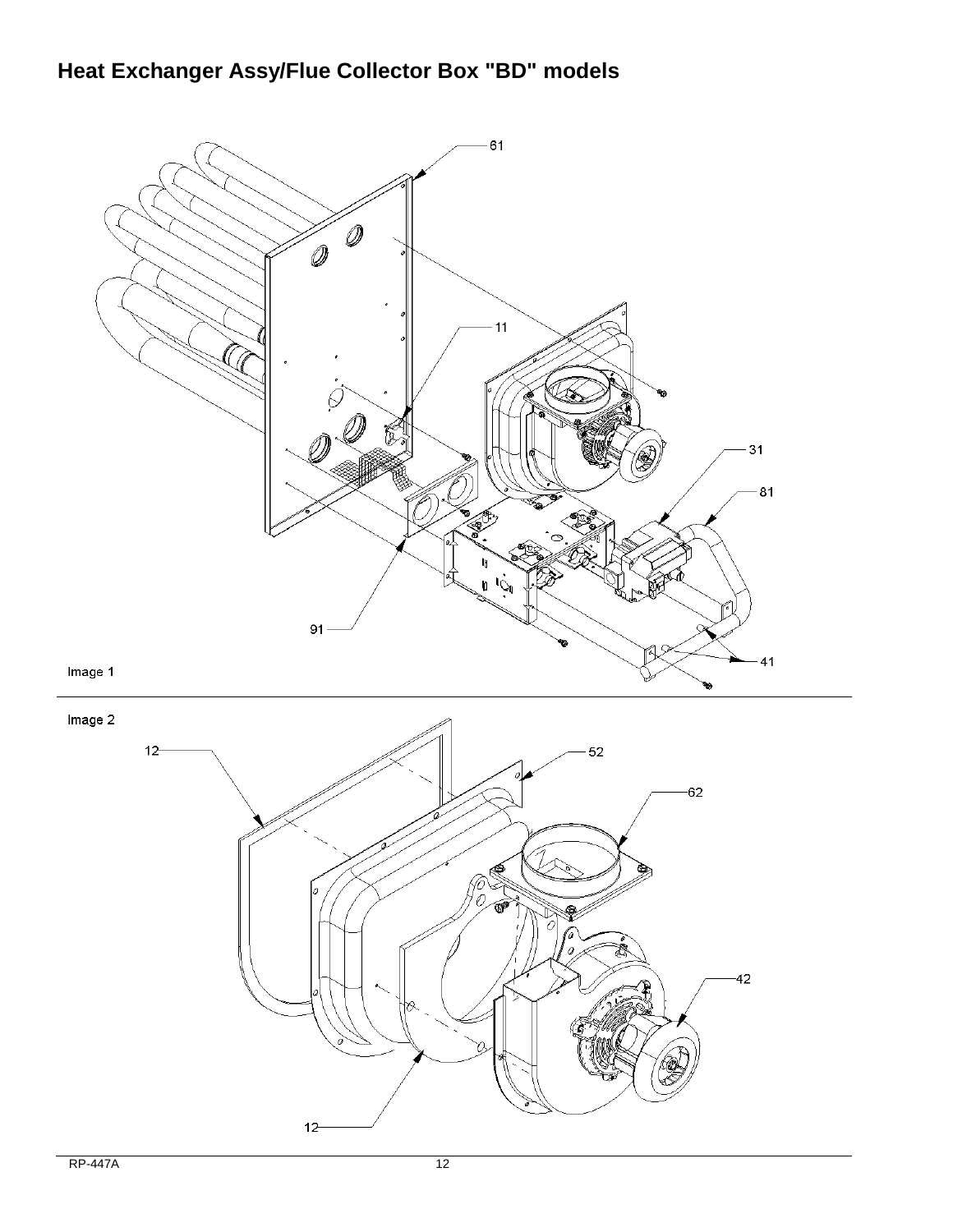## **Heat Exchanger Assy/Flue Collector Box "BD" models**



Image 2

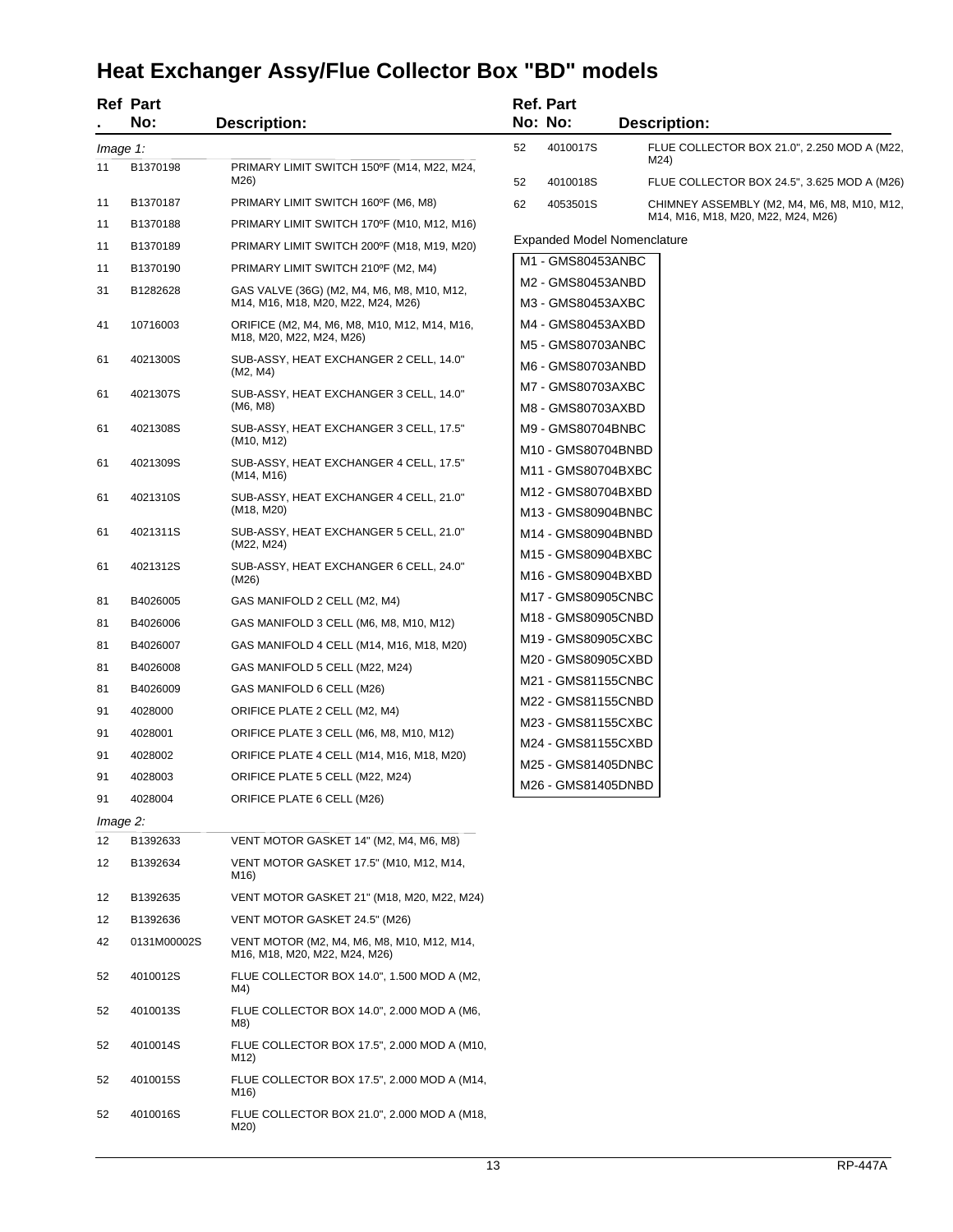# **Heat Exchanger Assy/Flue Collector Box "BD" models**

|             | <b>Ref Part</b> |                                                                                |    | Ref. Part                                |      |                                             |
|-------------|-----------------|--------------------------------------------------------------------------------|----|------------------------------------------|------|---------------------------------------------|
|             | No:             | <b>Description:</b>                                                            |    | No: No:                                  |      | <b>Description:</b>                         |
| Image 1:    |                 |                                                                                | 52 | 4010017S                                 |      | FLUE COLLECTOR BOX 21.0", 2.250 MOD A (M22, |
| 11          | B1370198        | PRIMARY LIMIT SWITCH 150°F (M14, M22, M24,<br>M26)                             | 52 | 4010018S                                 | M24) | FLUE COLLECTOR BOX 24.5", 3.625 MOD A (M26) |
| 11          | B1370187        | PRIMARY LIMIT SWITCH 160°F (M6, M8)                                            | 62 | 4053501S                                 |      | CHIMNEY ASSEMBLY (M2, M4, M6, M8, M10, M12, |
| 11          | B1370188        | PRIMARY LIMIT SWITCH 170°F (M10, M12, M16)                                     |    |                                          |      | M14, M16, M18, M20, M22, M24, M26)          |
| 11          | B1370189        | PRIMARY LIMIT SWITCH 200°F (M18, M19, M20)                                     |    | <b>Expanded Model Nomenclature</b>       |      |                                             |
| 11          | B1370190        | PRIMARY LIMIT SWITCH 210°F (M2, M4)                                            |    | M1 - GMS80453ANBC                        |      |                                             |
| 31          | B1282628        | GAS VALVE (36G) (M2, M4, M6, M8, M10, M12,                                     |    | M2 - GMS80453ANBD                        |      |                                             |
|             |                 | M14, M16, M18, M20, M22, M24, M26)                                             |    | M3 - GMS80453AXBC                        |      |                                             |
| 41          | 10716003        | ORIFICE (M2, M4, M6, M8, M10, M12, M14, M16,<br>M18, M20, M22, M24, M26)       |    | M4 - GMS80453AXBD<br>M5 - GMS80703ANBC   |      |                                             |
| 61          | 4021300S        | SUB-ASSY, HEAT EXCHANGER 2 CELL, 14.0"<br>(M2, M4)                             |    | M6 - GMS80703ANBD                        |      |                                             |
| 61          | 4021307S        | SUB-ASSY, HEAT EXCHANGER 3 CELL, 14.0"<br>(M6, M8)                             |    | M7 - GMS80703AXBC<br>M8 - GMS80703AXBD   |      |                                             |
| 61          | 4021308S        | SUB-ASSY, HEAT EXCHANGER 3 CELL, 17.5"<br>(M <sub>10</sub> , M <sub>12</sub> ) |    | M9 - GMS80704BNBC                        |      |                                             |
| 61          | 4021309S        | SUB-ASSY, HEAT EXCHANGER 4 CELL, 17.5"                                         |    | M10 - GMS80704BNBD                       |      |                                             |
|             |                 | (M14, M16)                                                                     |    | M11 - GMS80704BXBC                       |      |                                             |
| 61          | 4021310S        | SUB-ASSY, HEAT EXCHANGER 4 CELL, 21.0"                                         |    | M12 - GMS80704BXBD                       |      |                                             |
|             |                 | (M18, M20)                                                                     |    | M13 - GMS80904BNBC                       |      |                                             |
| 61          | 4021311S        | SUB-ASSY, HEAT EXCHANGER 5 CELL, 21.0"<br>(M22, M24)                           |    | M14 - GMS80904BNBD                       |      |                                             |
| 61          | 4021312S        | SUB-ASSY, HEAT EXCHANGER 6 CELL, 24.0"                                         |    | M15 - GMS80904BXBC                       |      |                                             |
|             |                 | (M26)                                                                          |    | M16 - GMS80904BXBD                       |      |                                             |
| 81          | B4026005        | GAS MANIFOLD 2 CELL (M2, M4)                                                   |    | M17 - GMS80905CNBC                       |      |                                             |
| 81          | B4026006        | GAS MANIFOLD 3 CELL (M6, M8, M10, M12)                                         |    | M18 - GMS80905CNBD                       |      |                                             |
| 81          | B4026007        | GAS MANIFOLD 4 CELL (M14, M16, M18, M20)                                       |    | M19 - GMS80905CXBC                       |      |                                             |
| 81          | B4026008        | GAS MANIFOLD 5 CELL (M22, M24)                                                 |    | M20 - GMS80905CXBD                       |      |                                             |
| 81          | B4026009        | GAS MANIFOLD 6 CELL (M26)                                                      |    | M21 - GMS81155CNBC                       |      |                                             |
| 91          | 4028000         | ORIFICE PLATE 2 CELL (M2, M4)                                                  |    | M22 - GMS81155CNBD                       |      |                                             |
| 91          | 4028001         | ORIFICE PLATE 3 CELL (M6, M8, M10, M12)                                        |    | M23 - GMS81155CXBC                       |      |                                             |
| 91          | 4028002         | ORIFICE PLATE 4 CELL (M14, M16, M18, M20)                                      |    | M24 - GMS81155CXBD<br>M25 - GMS81405DNBC |      |                                             |
| 91          | 4028003         | ORIFICE PLATE 5 CELL (M22, M24)                                                |    | M26 - GMS81405DNBD                       |      |                                             |
| 91          | 4028004         | ORIFICE PLATE 6 CELL (M26)                                                     |    |                                          |      |                                             |
| $Image 2$ : |                 |                                                                                |    |                                          |      |                                             |
| 12          | B1392633        | VENT MOTOR GASKET 14" (M2, M4, M6, M8)                                         |    |                                          |      |                                             |
| 12          | B1392634        | VENT MOTOR GASKET 17.5" (M10, M12, M14,<br>M16)                                |    |                                          |      |                                             |
| 12          | B1392635        | VENT MOTOR GASKET 21" (M18, M20, M22, M24)                                     |    |                                          |      |                                             |
| 12          | B1392636        | VENT MOTOR GASKET 24.5" (M26)                                                  |    |                                          |      |                                             |
| 42          | 0131M00002S     | VENT MOTOR (M2, M4, M6, M8, M10, M12, M14,<br>M16, M18, M20, M22, M24, M26)    |    |                                          |      |                                             |
| 52          | 4010012S        | FLUE COLLECTOR BOX 14.0", 1.500 MOD A (M2,<br>M4)                              |    |                                          |      |                                             |
| 52          | 4010013S        | FLUE COLLECTOR BOX 14.0", 2.000 MOD A (M6,<br>M8)                              |    |                                          |      |                                             |
| 52          | 4010014S        | FLUE COLLECTOR BOX 17.5", 2.000 MOD A (M10,<br>M12)                            |    |                                          |      |                                             |
| 52          | 4010015S        | FLUE COLLECTOR BOX 17.5", 2.000 MOD A (M14,<br>M16)                            |    |                                          |      |                                             |
| 52          | 4010016S        | FLUE COLLECTOR BOX 21.0", 2.000 MOD A (M18,<br>M20)                            |    |                                          |      |                                             |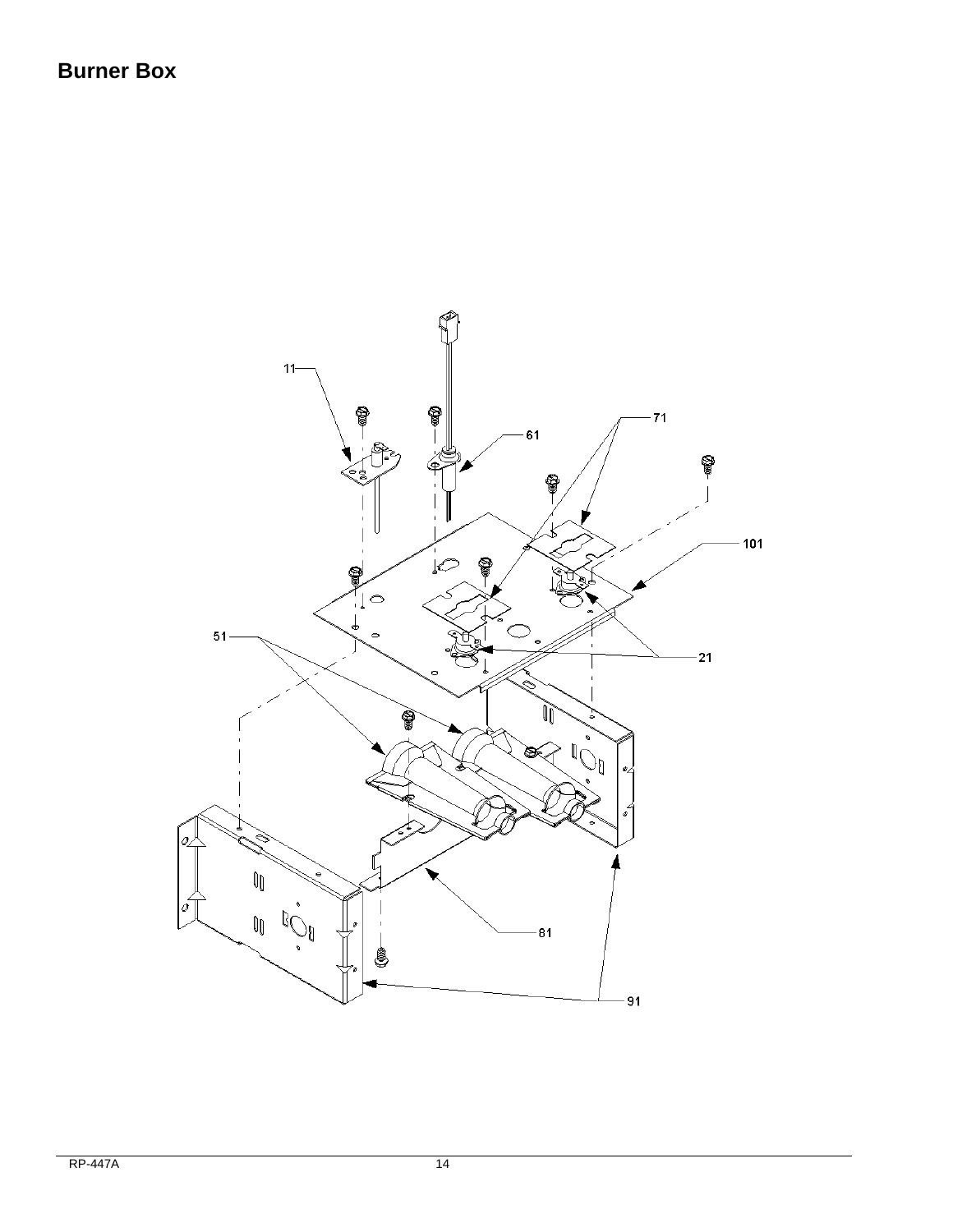